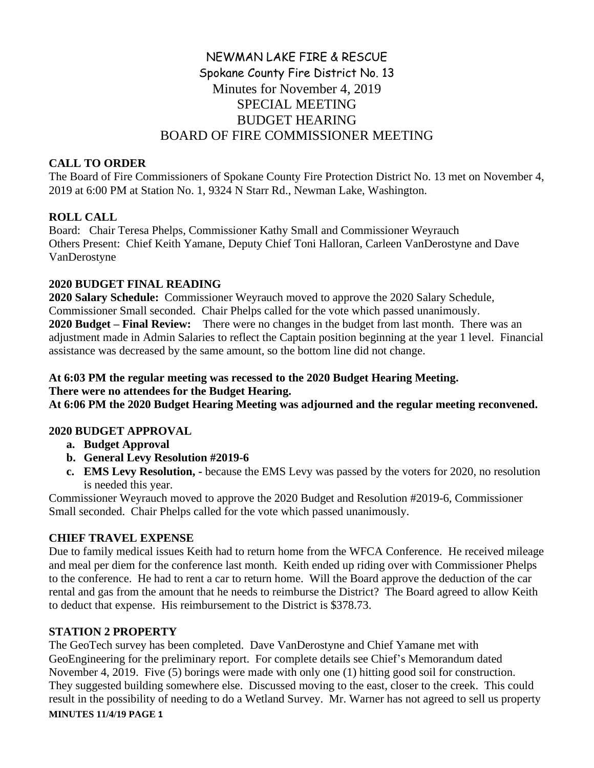# NEWMAN LAKE FIRE & RESCUE Spokane County Fire District No. 13 Minutes for November 4, 2019 SPECIAL MEETING BUDGET HEARING BOARD OF FIRE COMMISSIONER MEETING

### **CALL TO ORDER**

The Board of Fire Commissioners of Spokane County Fire Protection District No. 13 met on November 4, 2019 at 6:00 PM at Station No. 1, 9324 N Starr Rd., Newman Lake, Washington.

# **ROLL CALL**

Board: Chair Teresa Phelps, Commissioner Kathy Small and Commissioner Weyrauch Others Present: Chief Keith Yamane, Deputy Chief Toni Halloran, Carleen VanDerostyne and Dave VanDerostyne

## **2020 BUDGET FINAL READING**

**2020 Salary Schedule:** Commissioner Weyrauch moved to approve the 2020 Salary Schedule, Commissioner Small seconded. Chair Phelps called for the vote which passed unanimously. **2020 Budget – Final Review:** There were no changes in the budget from last month. There was an adjustment made in Admin Salaries to reflect the Captain position beginning at the year 1 level. Financial assistance was decreased by the same amount, so the bottom line did not change.

## **At 6:03 PM the regular meeting was recessed to the 2020 Budget Hearing Meeting. There were no attendees for the Budget Hearing.**

**At 6:06 PM the 2020 Budget Hearing Meeting was adjourned and the regular meeting reconvened.** 

### **2020 BUDGET APPROVAL**

- **a. Budget Approval**
- **b. General Levy Resolution #2019-6**
- **c. EMS Levy Resolution, -** because the EMS Levy was passed by the voters for 2020, no resolution is needed this year.

Commissioner Weyrauch moved to approve the 2020 Budget and Resolution #2019-6, Commissioner Small seconded. Chair Phelps called for the vote which passed unanimously.

# **CHIEF TRAVEL EXPENSE**

Due to family medical issues Keith had to return home from the WFCA Conference. He received mileage and meal per diem for the conference last month. Keith ended up riding over with Commissioner Phelps to the conference. He had to rent a car to return home. Will the Board approve the deduction of the car rental and gas from the amount that he needs to reimburse the District? The Board agreed to allow Keith to deduct that expense. His reimbursement to the District is \$378.73.

# **STATION 2 PROPERTY**

**MINUTES 11/4/19 PAGE 1** The GeoTech survey has been completed. Dave VanDerostyne and Chief Yamane met with GeoEngineering for the preliminary report. For complete details see Chief's Memorandum dated November 4, 2019. Five (5) borings were made with only one (1) hitting good soil for construction. They suggested building somewhere else. Discussed moving to the east, closer to the creek. This could result in the possibility of needing to do a Wetland Survey. Mr. Warner has not agreed to sell us property